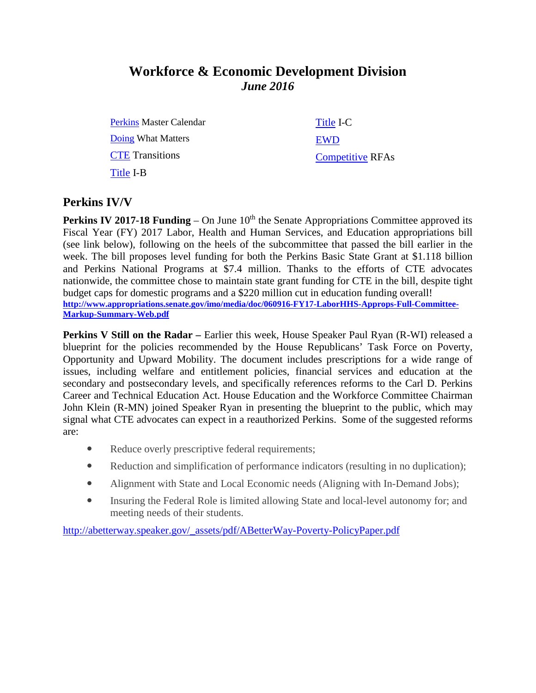# **Workforce & Economic Development Division** *June 2016*

[Perkins](http://extranet.cccco.edu/Portals/1/WED/CEP/PerkinsIV/PerkinsIVPartC/PerkinsMasterCalendar2014-16-V2.doc) Master Calendar [Doing](http://doingwhatmatters.cccco.edu/) What Matters **[CTE](http://extranet.cccco.edu/Divisions/WorkforceandEconDev/CareerEducationPractices/PerkinsIV/CTETransitions.aspx)** Transitions [Title](http://extranet.cccco.edu/Divisions/WorkforceandEconDev/CareerEducationPractices/PerkinsIV/PerkinsIVTitleIPartB.aspx) I-B

[Title](http://extranet.cccco.edu/Divisions/WorkforceandEconDev/CareerEducationPractices/PerkinsIV/PerkinsIVTitleIPartC.aspx) I-C [EWD](http://extranet.cccco.edu/Divisions/WorkforceandEconDev/EWDProgram/EWDGrants.aspx) [Competitive](http://extranet.cccco.edu/Divisions/WorkforceandEconDev/WEDDRFAs.aspx) RFAs

#### **Perkins IV/V**

**Perkins IV 2017-18 Funding** – On June 10<sup>th</sup> the Senate Appropriations Committee approved its Fiscal Year (FY) 2017 Labor, Health and Human Services, and Education appropriations bill (see link below), following on the heels of the subcommittee that passed the bill earlier in the week. The bill proposes level funding for both the Perkins Basic State Grant at \$1.118 billion and Perkins National Programs at \$7.4 million. Thanks to the efforts of CTE advocates nationwide, the committee chose to maintain state grant funding for CTE in the bill, despite tight budget caps for domestic programs and a \$220 million cut in education funding overall! **[http://www.appropriations.senate.gov/imo/media/doc/060916-FY17-LaborHHS-Approps-Full-Committee-](http://www.appropriations.senate.gov/imo/media/doc/060916-FY17-LaborHHS-Approps-Full-Committee-Markup-Summary-Web.pdf)[Markup-Summary-Web.pdf](http://www.appropriations.senate.gov/imo/media/doc/060916-FY17-LaborHHS-Approps-Full-Committee-Markup-Summary-Web.pdf)**

**Perkins V Still on the Radar –** Earlier this week, House Speaker Paul Ryan (R-WI) released a blueprint for the policies recommended by the House Republicans' Task Force on Poverty, Opportunity and Upward Mobility. The document includes prescriptions for a wide range of issues, including welfare and entitlement policies, financial services and education at the secondary and postsecondary levels, and specifically references reforms to the Carl D. Perkins Career and Technical Education Act. House Education and the Workforce Committee Chairman John Klein (R-MN) joined Speaker Ryan in presenting the blueprint to the public, which may signal what CTE advocates can expect in a reauthorized Perkins. Some of the suggested reforms are:

- Reduce overly prescriptive federal requirements;
- Reduction and simplification of performance indicators (resulting in no duplication);
- Alignment with State and Local Economic needs (Aligning with In-Demand Jobs);
- Insuring the Federal Role is limited allowing State and local-level autonomy for; and meeting needs of their students.

[http://abetterway.speaker.gov/\\_assets/pdf/ABetterWay-Poverty-PolicyPaper.pdf](http://abetterway.speaker.gov/_assets/pdf/ABetterWay-Poverty-PolicyPaper.pdf)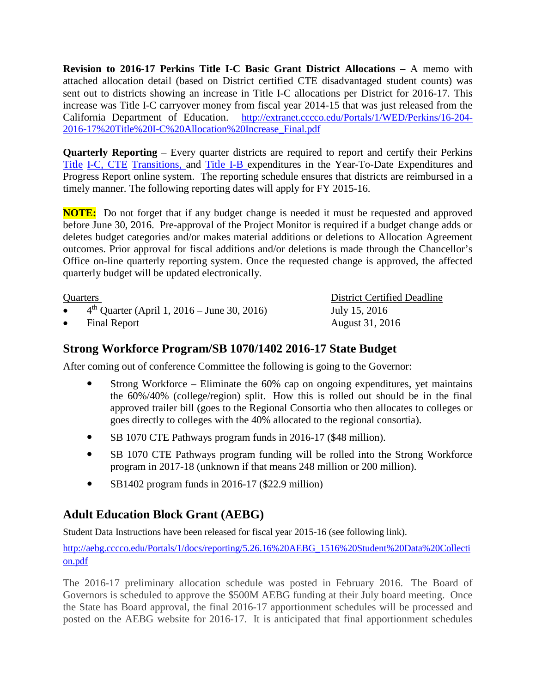**Revision to 2016-17 Perkins Title I-C Basic Grant District Allocations –** A memo with attached allocation detail (based on District certified CTE disadvantaged student counts) was sent out to districts showing an increase in Title I-C allocations per District for 2016-17. This increase was Title I-C carryover money from fiscal year 2014-15 that was just released from the California Department of Education. [http://extranet.cccco.edu/Portals/1/WED/Perkins/16-204-](http://extranet.cccco.edu/Portals/1/WED/Perkins/16-204-2016-17%20Title%20I-C%20Allocation%20Increase_Final.pdf) [2016-17%20Title%20I-C%20Allocation%20Increase\\_Final.pdf](http://extranet.cccco.edu/Portals/1/WED/Perkins/16-204-2016-17%20Title%20I-C%20Allocation%20Increase_Final.pdf)

**Quarterly Reporting** – Every quarter districts are required to report and certify their Perkins [Title](https://misweb02.cccco.edu/vtea/dba/logon.cfm) I-C, [CTE](https://misweb02.cccco.edu/ctetransitions/prod/logon.cfm) Transitions, and [Title](https://misweb02.cccco.edu/vteaib/prod/logon.cfm) I-B expenditures in the Year-To-Date Expenditures and Progress Report online system. The reporting schedule ensures that districts are reimbursed in a timely manner. The following reporting dates will apply for FY 2015-16.

**NOTE:** Do not forget that if any budget change is needed it must be requested and approved before June 30, 2016. Pre-approval of the Project Monitor is required if a budget change adds or deletes budget categories and/or makes material additions or deletions to Allocation Agreement outcomes. Prior approval for fiscal additions and/or deletions is made through the Chancellor's Office on-line quarterly reporting system. Once the requested change is approved, the affected quarterly budget will be updated electronically.

4<sup>th</sup> Quarter (April 1, 2016 – June 30, 2016) July 15, 2016

Quarters District Certified Deadline • Final Report **August 31, 2016** 

### **Strong Workforce Program/SB 1070/1402 2016-17 State Budget**

After coming out of conference Committee the following is going to the Governor:

- Strong Workforce Eliminate the 60% cap on ongoing expenditures, yet maintains the 60%/40% (college/region) split. How this is rolled out should be in the final approved trailer bill (goes to the Regional Consortia who then allocates to colleges or goes directly to colleges with the 40% allocated to the regional consortia).
- SB 1070 CTE Pathways program funds in 2016-17 (\$48 million).
- SB 1070 CTE Pathways program funding will be rolled into the Strong Workforce program in 2017-18 (unknown if that means 248 million or 200 million).
- SB1402 program funds in 2016-17 (\$22.9 million)

## **Adult Education Block Grant (AEBG)**

Student Data Instructions have been released for fiscal year 2015-16 (see following link).

[http://aebg.cccco.edu/Portals/1/docs/reporting/5.26.16%20AEBG\\_1516%20Student%20Data%20Collecti](http://aebg.cccco.edu/Portals/1/docs/reporting/5.26.16%20AEBG_1516%20Student%20Data%20Collection.pdf) [on.pdf](http://aebg.cccco.edu/Portals/1/docs/reporting/5.26.16%20AEBG_1516%20Student%20Data%20Collection.pdf)

The 2016-17 preliminary allocation schedule was posted in February 2016. The Board of Governors is scheduled to approve the \$500M AEBG funding at their July board meeting. Once the State has Board approval, the final 2016-17 apportionment schedules will be processed and posted on the AEBG website for 2016-17. It is anticipated that final apportionment schedules